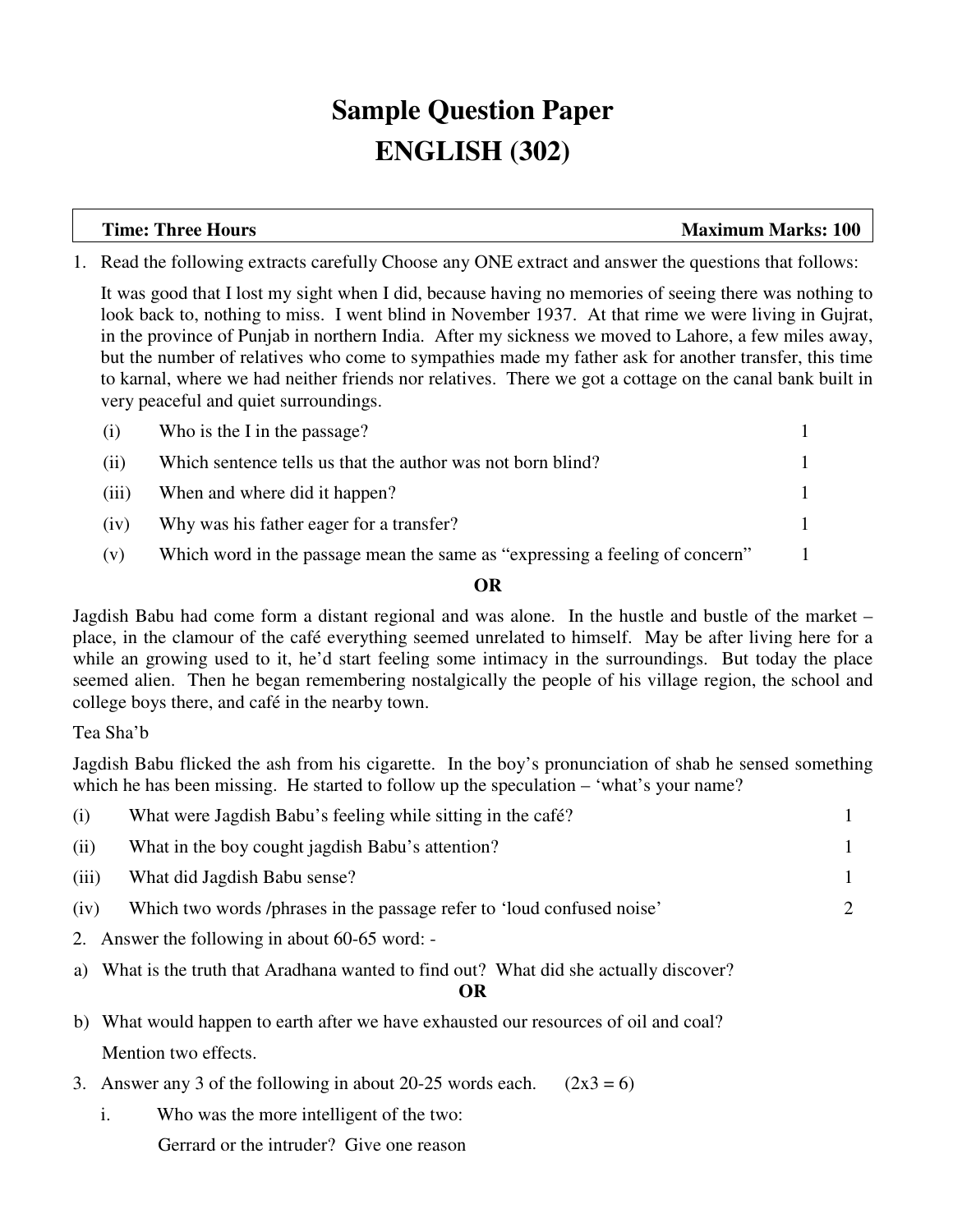# **Sample Question Paper ENGLISH (302)**

**Time: Three Hours Maximum Marks: 100** 

1. Read the following extracts carefully Choose any ONE extract and answer the questions that follows:

It was good that I lost my sight when I did, because having no memories of seeing there was nothing to look back to, nothing to miss. I went blind in November 1937. At that rime we were living in Gujrat, in the province of Punjab in northern India. After my sickness we moved to Lahore, a few miles away, but the number of relatives who come to sympathies made my father ask for another transfer, this time to karnal, where we had neither friends nor relatives. There we got a cottage on the canal bank built in very peaceful and quiet surroundings.

| Who is the I in the passage?<br>(i)                                                 |  |
|-------------------------------------------------------------------------------------|--|
| (ii)<br>Which sentence tells us that the author was not born blind?                 |  |
| When and where did it happen?<br>(iii)                                              |  |
| Why was his father eager for a transfer?<br>(iv)                                    |  |
| Which word in the passage mean the same as "expressing a feeling of concern"<br>(v) |  |

# **OR**

Jagdish Babu had come form a distant regional and was alone. In the hustle and bustle of the market – place, in the clamour of the café everything seemed unrelated to himself. May be after living here for a while an growing used to it, he'd start feeling some intimacy in the surroundings. But today the place seemed alien. Then he began remembering nostalgically the people of his village region, the school and college boys there, and café in the nearby town.

Tea Sha'b

Jagdish Babu flicked the ash from his cigarette. In the boy's pronunciation of shab he sensed something which he has been missing. He started to follow up the speculation – 'what's your name?

| (i)           | What were Jagdish Babu's feeling while sitting in the café?                                                                                                                                                                                                                                                                                                                                                                                                                                |                             |
|---------------|--------------------------------------------------------------------------------------------------------------------------------------------------------------------------------------------------------------------------------------------------------------------------------------------------------------------------------------------------------------------------------------------------------------------------------------------------------------------------------------------|-----------------------------|
| (ii)          | What in the boy cought jagdish Babu's attention?                                                                                                                                                                                                                                                                                                                                                                                                                                           |                             |
| (iii)         | What did Jagdish Babu sense?                                                                                                                                                                                                                                                                                                                                                                                                                                                               |                             |
| (iv)          | Which two words /phrases in the passage refer to 'loud confused noise'                                                                                                                                                                                                                                                                                                                                                                                                                     | $\mathcal{D}_{\mathcal{L}}$ |
| $\sim$ $\sim$ | $\blacksquare$ $\blacksquare$ $\blacksquare$ $\blacksquare$ $\blacksquare$ $\blacksquare$ $\blacksquare$ $\blacksquare$ $\blacksquare$ $\blacksquare$ $\blacksquare$ $\blacksquare$ $\blacksquare$ $\blacksquare$ $\blacksquare$ $\blacksquare$ $\blacksquare$ $\blacksquare$ $\blacksquare$ $\blacksquare$ $\blacksquare$ $\blacksquare$ $\blacksquare$ $\blacksquare$ $\blacksquare$ $\blacksquare$ $\blacksquare$ $\blacksquare$ $\blacksquare$ $\blacksquare$ $\blacksquare$ $\blacks$ |                             |

- 2. Answer the following in about 60-65 word: -
- a) What is the truth that Aradhana wanted to find out? What did she actually discover?

**OR** 

- b) What would happen to earth after we have exhausted our resources of oil and coal? Mention two effects.
- 3. Answer any 3 of the following in about 20-25 words each.  $(2x3 = 6)$ 
	- i. Who was the more intelligent of the two:

Gerrard or the intruder? Give one reason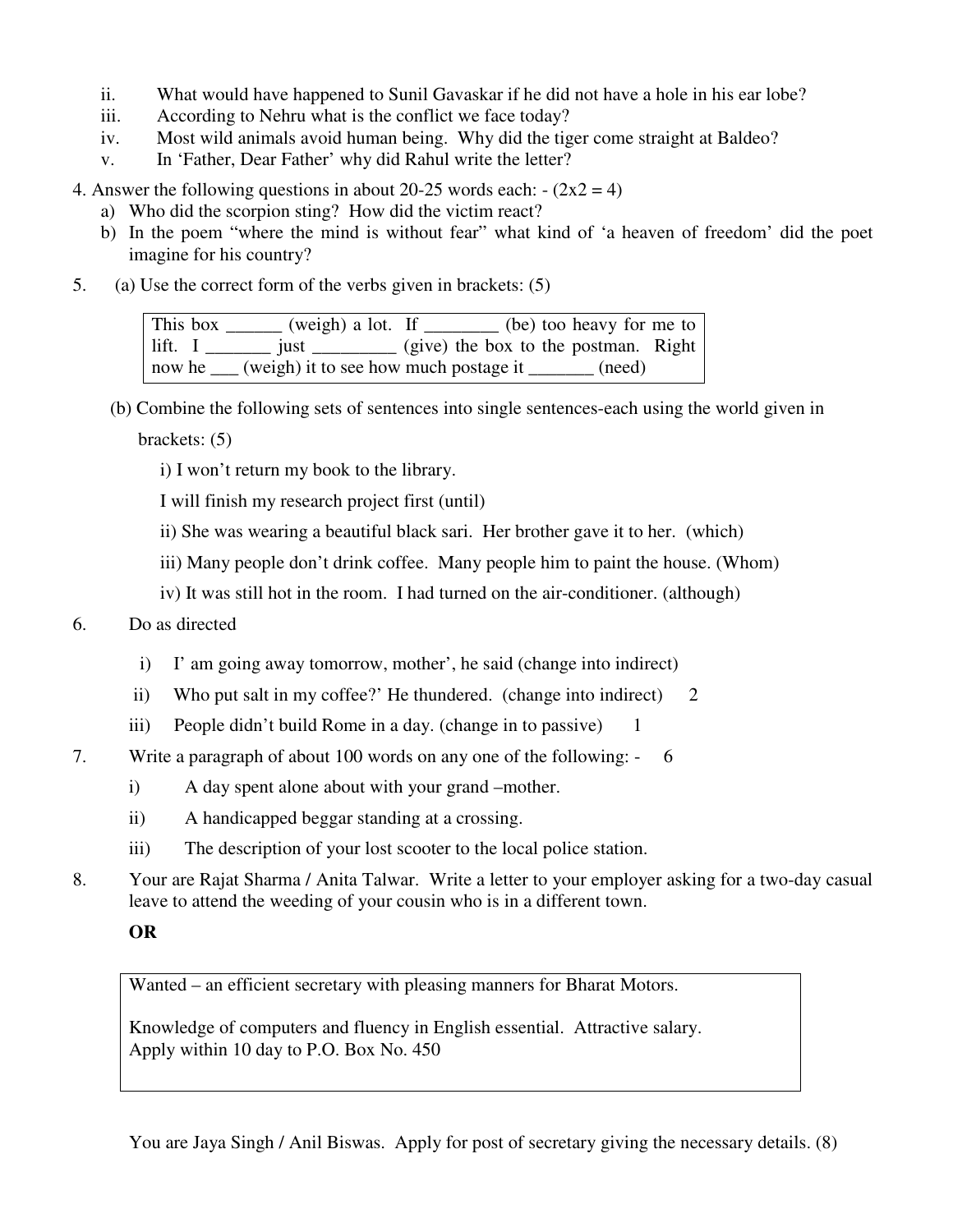- ii. What would have happened to Sunil Gavaskar if he did not have a hole in his ear lobe?
- iii. According to Nehru what is the conflict we face today?
- iv. Most wild animals avoid human being. Why did the tiger come straight at Baldeo?
- v. In 'Father, Dear Father' why did Rahul write the letter?

4. Answer the following questions in about 20-25 words each:  $-(2x2 = 4)$ 

- a) Who did the scorpion sting? How did the victim react?
- b) In the poem "where the mind is without fear" what kind of 'a heaven of freedom' did the poet imagine for his country?
- 5. (a) Use the correct form of the verbs given in brackets: (5)

| This box | (weigh) a lot. If                                                                                                                                                                                                                                                                                                                                                                                                             |  | (be) too heavy for me to |  |
|----------|-------------------------------------------------------------------------------------------------------------------------------------------------------------------------------------------------------------------------------------------------------------------------------------------------------------------------------------------------------------------------------------------------------------------------------|--|--------------------------|--|
| lift. I  | just $\frac{1}{\sqrt{1-\frac{1}{\sqrt{1-\frac{1}{\sqrt{1-\frac{1}{\sqrt{1-\frac{1}{\sqrt{1-\frac{1}{\sqrt{1-\frac{1}{\sqrt{1-\frac{1}{\sqrt{1-\frac{1}{\sqrt{1-\frac{1}{\sqrt{1-\frac{1}{\sqrt{1-\frac{1}{\sqrt{1-\frac{1}{\sqrt{1-\frac{1}{\sqrt{1-\frac{1}{\sqrt{1-\frac{1}{\sqrt{1-\frac{1}{\sqrt{1-\frac{1}{\sqrt{1-\frac{1}{\sqrt{1-\frac{1}{\sqrt{1-\frac{1}{\sqrt{1-\frac{1}{\sqrt{1-\frac{1}{\sqrt{1-\frac{1}{\sqrt{$ |  |                          |  |
| now he   | (weigh) it to see how much postage it                                                                                                                                                                                                                                                                                                                                                                                         |  | (need)                   |  |

(b) Combine the following sets of sentences into single sentences-each using the world given in

brackets: (5)

i) I won't return my book to the library.

I will finish my research project first (until)

ii) She was wearing a beautiful black sari. Her brother gave it to her. (which)

iii) Many people don't drink coffee. Many people him to paint the house. (Whom)

iv) It was still hot in the room. I had turned on the air-conditioner. (although)

- 6. Do as directed
	- i) I' am going away tomorrow, mother', he said (change into indirect)
	- ii) Who put salt in my coffee?' He thundered. (change into indirect)  $2 \pi$
	- iii) People didn't build Rome in a day. (change in to passive)  $1$
- 7. Write a paragraph of about 100 words on any one of the following: 6
	- i) A day spent alone about with your grand –mother.
	- ii) A handicapped beggar standing at a crossing.
	- iii) The description of your lost scooter to the local police station.
- 8. Your are Rajat Sharma / Anita Talwar. Write a letter to your employer asking for a two-day casual leave to attend the weeding of your cousin who is in a different town.

# **OR**

Wanted – an efficient secretary with pleasing manners for Bharat Motors.

Knowledge of computers and fluency in English essential. Attractive salary. Apply within 10 day to P.O. Box No. 450

You are Jaya Singh / Anil Biswas. Apply for post of secretary giving the necessary details. (8)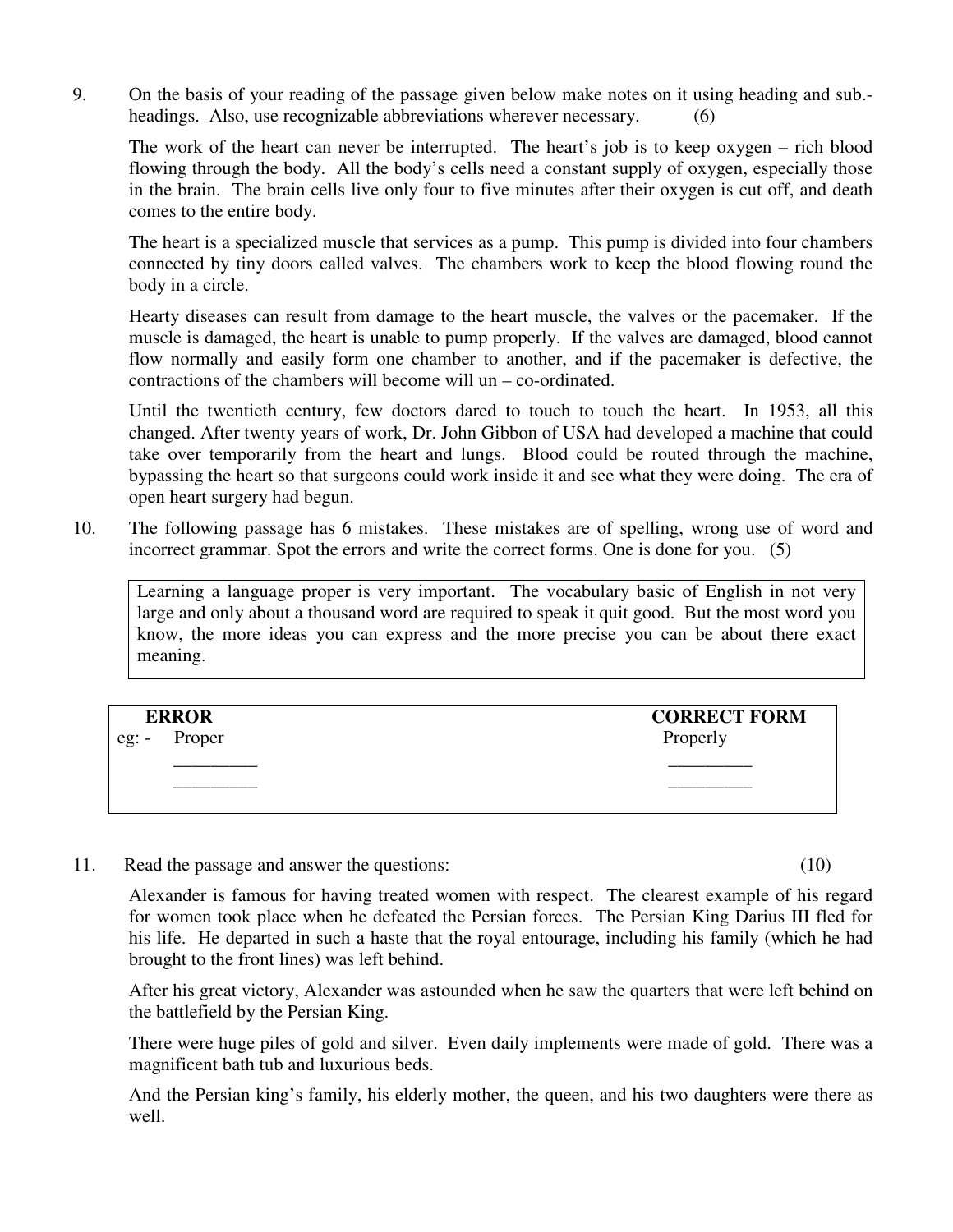9. On the basis of your reading of the passage given below make notes on it using heading and sub. headings. Also, use recognizable abbreviations wherever necessary. (6)

 The work of the heart can never be interrupted. The heart's job is to keep oxygen – rich blood flowing through the body. All the body's cells need a constant supply of oxygen, especially those in the brain. The brain cells live only four to five minutes after their oxygen is cut off, and death comes to the entire body.

 The heart is a specialized muscle that services as a pump. This pump is divided into four chambers connected by tiny doors called valves. The chambers work to keep the blood flowing round the body in a circle.

 Hearty diseases can result from damage to the heart muscle, the valves or the pacemaker. If the muscle is damaged, the heart is unable to pump properly. If the valves are damaged, blood cannot flow normally and easily form one chamber to another, and if the pacemaker is defective, the contractions of the chambers will become will un – co-ordinated.

 Until the twentieth century, few doctors dared to touch to touch the heart. In 1953, all this changed. After twenty years of work, Dr. John Gibbon of USA had developed a machine that could take over temporarily from the heart and lungs. Blood could be routed through the machine, bypassing the heart so that surgeons could work inside it and see what they were doing. The era of open heart surgery had begun.

10. The following passage has 6 mistakes. These mistakes are of spelling, wrong use of word and incorrect grammar. Spot the errors and write the correct forms. One is done for you. (5)

Learning a language proper is very important. The vocabulary basic of English in not very large and only about a thousand word are required to speak it quit good. But the most word you know, the more ideas you can express and the more precise you can be about there exact meaning.

|         | <b>ERROR</b> | <b>CORRECT FORM</b> |
|---------|--------------|---------------------|
| eg: $-$ | Proper       | Properly            |
|         |              |                     |
|         |              |                     |
|         |              |                     |

11. Read the passage and answer the questions: (10)

Alexander is famous for having treated women with respect. The clearest example of his regard for women took place when he defeated the Persian forces. The Persian King Darius III fled for his life. He departed in such a haste that the royal entourage, including his family (which he had brought to the front lines) was left behind.

After his great victory, Alexander was astounded when he saw the quarters that were left behind on the battlefield by the Persian King.

There were huge piles of gold and silver. Even daily implements were made of gold. There was a magnificent bath tub and luxurious beds.

And the Persian king's family, his elderly mother, the queen, and his two daughters were there as well.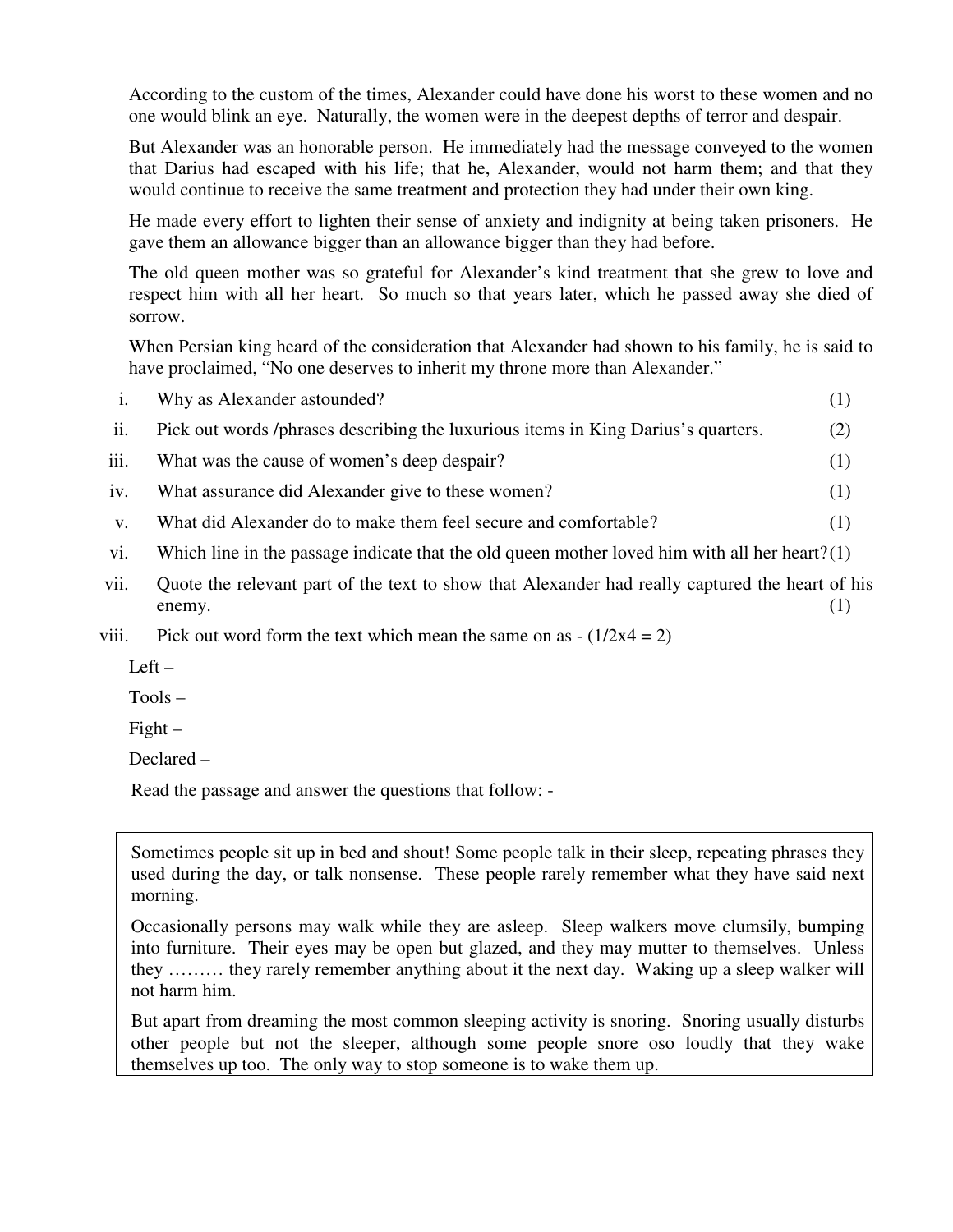According to the custom of the times, Alexander could have done his worst to these women and no one would blink an eye. Naturally, the women were in the deepest depths of terror and despair.

But Alexander was an honorable person. He immediately had the message conveyed to the women that Darius had escaped with his life; that he, Alexander, would not harm them; and that they would continue to receive the same treatment and protection they had under their own king.

He made every effort to lighten their sense of anxiety and indignity at being taken prisoners. He gave them an allowance bigger than an allowance bigger than they had before.

The old queen mother was so grateful for Alexander's kind treatment that she grew to love and respect him with all her heart. So much so that years later, which he passed away she died of sorrow.

When Persian king heard of the consideration that Alexander had shown to his family, he is said to have proclaimed, "No one deserves to inherit my throne more than Alexander."

| Why as Alexander astounded?      |  |  |  |  |  |  |  |                                                                                                                                                                                                                                                                                                                                    |  |  |  |
|----------------------------------|--|--|--|--|--|--|--|------------------------------------------------------------------------------------------------------------------------------------------------------------------------------------------------------------------------------------------------------------------------------------------------------------------------------------|--|--|--|
| $\mathbf{D}^*$ 1 $\pm$ 1 $\pm$ 1 |  |  |  |  |  |  |  | $\mathbf{1}$ $\mathbf{1}$ $\mathbf{1}$ $\mathbf{1}$ $\mathbf{1}$ $\mathbf{1}$ $\mathbf{1}$ $\mathbf{1}$ $\mathbf{1}$ $\mathbf{1}$ $\mathbf{1}$ $\mathbf{1}$ $\mathbf{1}$ $\mathbf{1}$ $\mathbf{1}$ $\mathbf{1}$ $\mathbf{1}$ $\mathbf{1}$ $\mathbf{1}$ $\mathbf{1}$ $\mathbf{1}$ $\mathbf{1}$ $\mathbf{1}$ $\mathbf{1}$ $\mathbf{$ |  |  |  |

ii. Pick out words /phrases describing the luxurious items in King Darius's quarters. (2)

- iii. What was the cause of women's deep despair? (1)
- iv. What assurance did Alexander give to these women? (1)
- v. What did Alexander do to make them feel secure and comfortable? (1)
- vi. Which line in the passage indicate that the old queen mother loved him with all her heart? $(1)$
- vii. Quote the relevant part of the text to show that Alexander had really captured the heart of his  $\epsilon$  enemy. (1)
- viii. Pick out word form the text which mean the same on as  $-(1/2x4 = 2)$

 $Left -$ 

Tools –

 $Figure 1 -$ 

Declared –

Read the passage and answer the questions that follow: -

Sometimes people sit up in bed and shout! Some people talk in their sleep, repeating phrases they used during the day, or talk nonsense. These people rarely remember what they have said next morning.

Occasionally persons may walk while they are asleep. Sleep walkers move clumsily, bumping into furniture. Their eyes may be open but glazed, and they may mutter to themselves. Unless they ……… they rarely remember anything about it the next day. Waking up a sleep walker will not harm him.

But apart from dreaming the most common sleeping activity is snoring. Snoring usually disturbs other people but not the sleeper, although some people snore oso loudly that they wake themselves up too. The only way to stop someone is to wake them up.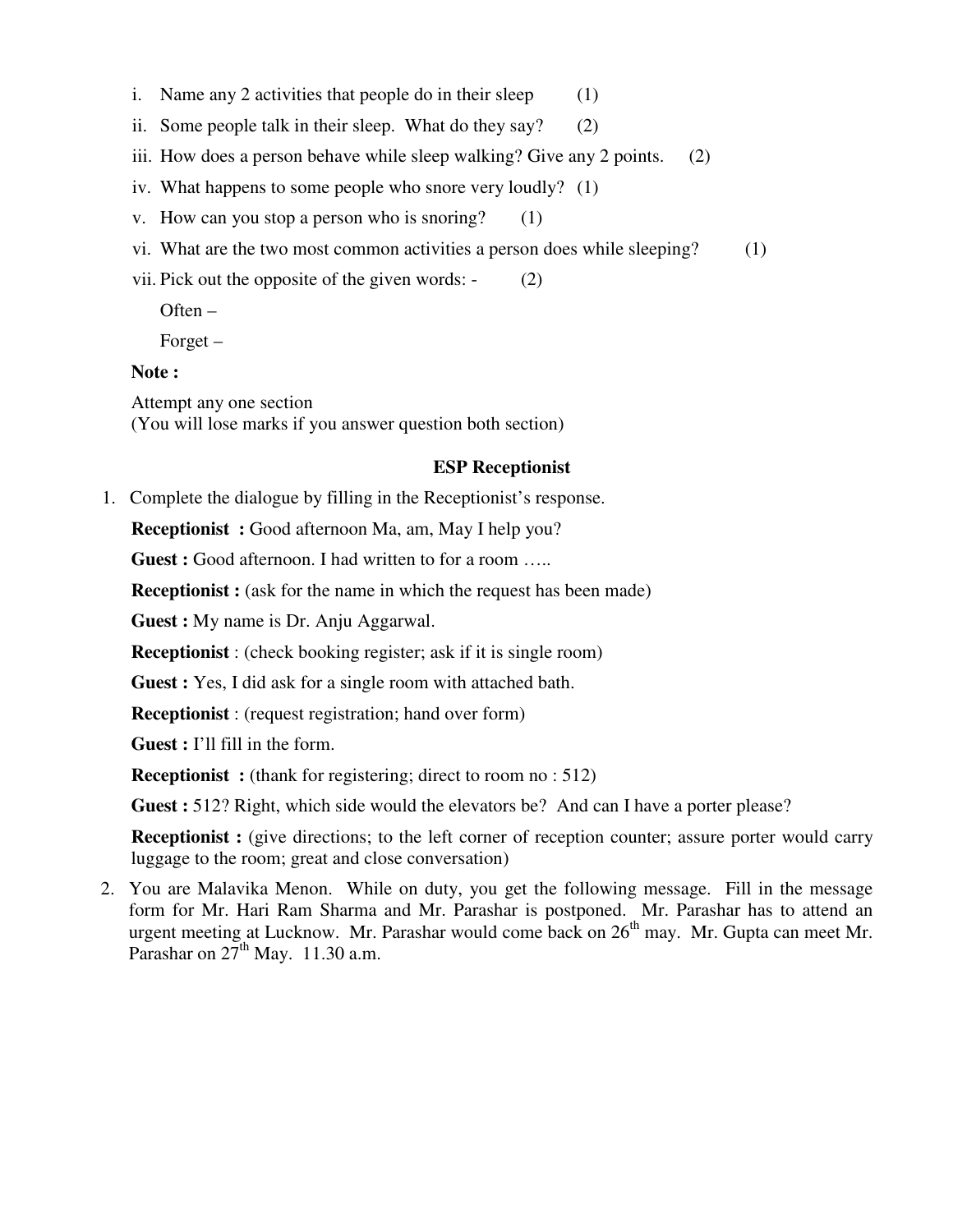- i. Name any 2 activities that people do in their sleep  $(1)$
- ii. Some people talk in their sleep. What do they say? (2)
- iii. How does a person behave while sleep walking? Give any 2 points. (2)
- iv. What happens to some people who snore very loudly? (1)
- v. How can you stop a person who is snoring?  $(1)$
- vi. What are the two most common activities a person does while sleeping? (1)
- vii. Pick out the opposite of the given words: (2)

Often –

Forget –

#### **Note :**

Attempt any one section (You will lose marks if you answer question both section)

# **ESP Receptionist**

1. Complete the dialogue by filling in the Receptionist's response.

**Receptionist :** Good afternoon Ma, am, May I help you?

**Guest :** Good afternoon. I had written to for a room .....

**Receptionist :** (ask for the name in which the request has been made)

**Guest :** My name is Dr. Anju Aggarwal.

**Receptionist** : (check booking register; ask if it is single room)

**Guest :** Yes, I did ask for a single room with attached bath.

**Receptionist** : (request registration; hand over form)

**Guest :** I'll fill in the form.

**Receptionist**: (thank for registering; direct to room no : 512)

**Guest :** 512? Right, which side would the elevators be? And can I have a porter please?

**Receptionist :** (give directions; to the left corner of reception counter; assure porter would carry luggage to the room; great and close conversation)

2. You are Malavika Menon. While on duty, you get the following message. Fill in the message form for Mr. Hari Ram Sharma and Mr. Parashar is postponed. Mr. Parashar has to attend an urgent meeting at Lucknow. Mr. Parashar would come back on 26<sup>th</sup> may. Mr. Gupta can meet Mr. Parashar on  $27<sup>th</sup>$  May. 11.30 a.m.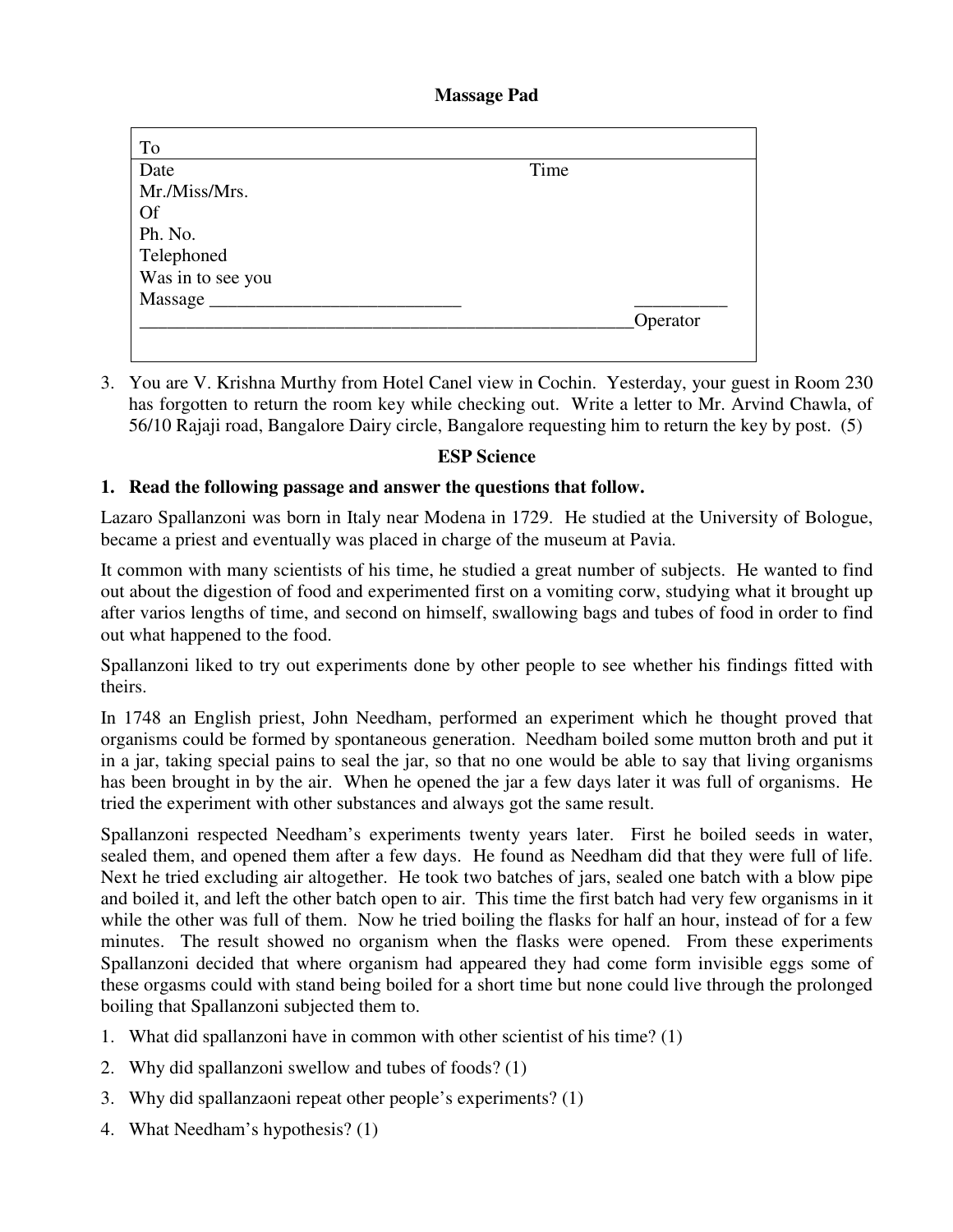**Massage Pad** 

| To                |      |          |
|-------------------|------|----------|
| Date              | Time |          |
| Mr./Miss/Mrs.     |      |          |
| <b>Of</b>         |      |          |
| Ph. No.           |      |          |
| Telephoned        |      |          |
| Was in to see you |      |          |
| Massage           |      |          |
|                   |      | Operator |
|                   |      |          |

3. You are V. Krishna Murthy from Hotel Canel view in Cochin. Yesterday, your guest in Room 230 has forgotten to return the room key while checking out. Write a letter to Mr. Arvind Chawla, of 56/10 Rajaji road, Bangalore Dairy circle, Bangalore requesting him to return the key by post. (5)

# **ESP Science**

# **1. Read the following passage and answer the questions that follow.**

Lazaro Spallanzoni was born in Italy near Modena in 1729. He studied at the University of Bologue, became a priest and eventually was placed in charge of the museum at Pavia.

It common with many scientists of his time, he studied a great number of subjects. He wanted to find out about the digestion of food and experimented first on a vomiting corw, studying what it brought up after varios lengths of time, and second on himself, swallowing bags and tubes of food in order to find out what happened to the food.

Spallanzoni liked to try out experiments done by other people to see whether his findings fitted with theirs.

In 1748 an English priest, John Needham, performed an experiment which he thought proved that organisms could be formed by spontaneous generation. Needham boiled some mutton broth and put it in a jar, taking special pains to seal the jar, so that no one would be able to say that living organisms has been brought in by the air. When he opened the jar a few days later it was full of organisms. He tried the experiment with other substances and always got the same result.

Spallanzoni respected Needham's experiments twenty years later. First he boiled seeds in water, sealed them, and opened them after a few days. He found as Needham did that they were full of life. Next he tried excluding air altogether. He took two batches of jars, sealed one batch with a blow pipe and boiled it, and left the other batch open to air. This time the first batch had very few organisms in it while the other was full of them. Now he tried boiling the flasks for half an hour, instead of for a few minutes. The result showed no organism when the flasks were opened. From these experiments Spallanzoni decided that where organism had appeared they had come form invisible eggs some of these orgasms could with stand being boiled for a short time but none could live through the prolonged boiling that Spallanzoni subjected them to.

- 1. What did spallanzoni have in common with other scientist of his time? (1)
- 2. Why did spallanzoni swellow and tubes of foods? (1)
- 3. Why did spallanzaoni repeat other people's experiments? (1)
- 4. What Needham's hypothesis? (1)